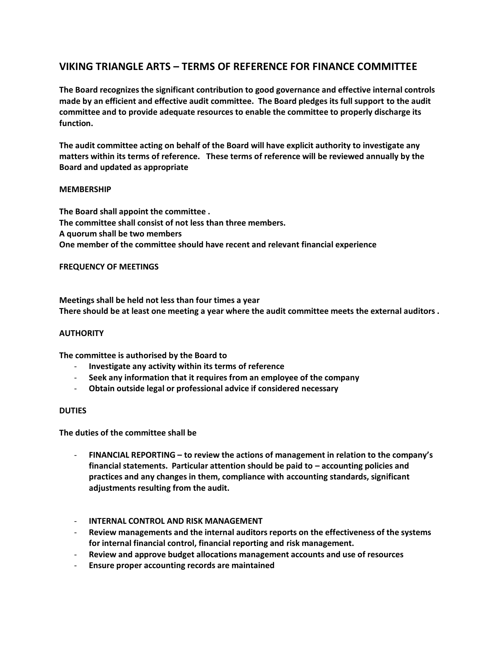# **VIKING TRIANGLE ARTS – TERMS OF REFERENCE FOR FINANCE COMMITTEE**

**The Board recognizes the significant contribution to good governance and effective internal controls made by an efficient and effective audit committee. The Board pledges its full support to the audit committee and to provide adequate resources to enable the committee to properly discharge its function.**

**The audit committee acting on behalf of the Board will have explicit authority to investigate any matters within its terms of reference. These terms of reference will be reviewed annually by the Board and updated as appropriate**

# **MEMBERSHIP**

**The Board shall appoint the committee . The committee shall consist of not less than three members. A quorum shall be two members One member of the committee should have recent and relevant financial experience**

# **FREQUENCY OF MEETINGS**

**Meetings shall be held not less than four times a year There should be at least one meeting a year where the audit committee meets the external auditors .**

### **AUTHORITY**

**The committee is authorised by the Board to**

- **Investigate any activity within its terms of reference**
- **Seek any information that it requires from an employee of the company**
- **Obtain outside legal or professional advice if considered necessary**

### **DUTIES**

**The duties of the committee shall be**

- **FINANCIAL REPORTING – to review the actions of management in relation to the company's financial statements. Particular attention should be paid to – accounting policies and practices and any changes in them, compliance with accounting standards, significant adjustments resulting from the audit.**
- **INTERNAL CONTROL AND RISK MANAGEMENT**
- **Review managements and the internal auditors reports on the effectiveness of the systems for internal financial control, financial reporting and risk management.**
- **Review and approve budget allocations management accounts and use of resources**
- **Ensure proper accounting records are maintained**